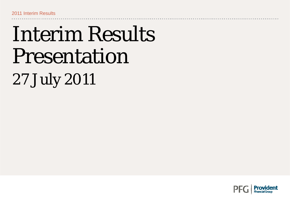## Interim Results Presentation 27 July 2011

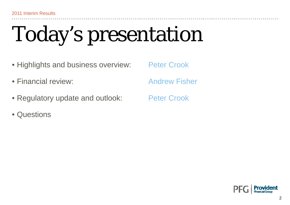# Today's presentation

- Highlights and business overview: Peter Crook
- Financial review: Andrew Fisher
- Regulatory update and outlook: Peter Crook
- Questions

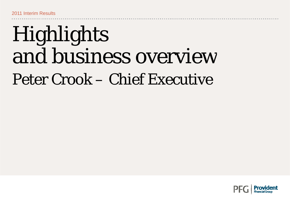## Highlights and business overview Peter Crook – Chief Executive

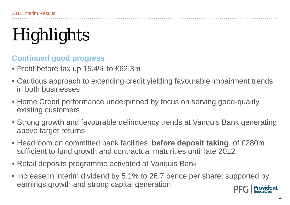## **Highlights**

#### **Continued good progress**

- Profit before tax up 15.4% to £62.3m
- Cautious approach to extending credit yielding favourable impairment trends in both businesses
- Home Credit performance underpinned by focus on serving good-quality existing customers
- Strong growth and favourable delinquency trends at Vanquis Bank generating above target returns
- Headroom on committed bank facilities, **before deposit taking**, of £280m sufficient to fund growth and contractual maturities until late 2012
- Retail deposits programme activated at Vanquis Bank
- Increase in interim dividend by 5.1% to 26.7 pence per share, supported by earnings growth and strong capital generation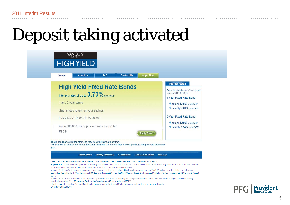#### Deposit taking activated

| <b>About Us</b><br><b>FAQ</b><br><b>Contact Us</b><br><b>Apply Now</b><br>Home                                                                                                                 |                                                                                                                   |
|------------------------------------------------------------------------------------------------------------------------------------------------------------------------------------------------|-------------------------------------------------------------------------------------------------------------------|
| <b>High Yield Fixed Rate Bonds</b><br>interest rates of up to $3.70\%$ gross/AER*                                                                                                              | <b>Interest Rates</b><br>Below is a breakdown of our interest<br>rates as of 21/07/2011<br>1 Year Fixed Rate Bond |
| 1 and 2 year terms<br>Guaranteed return on your savings                                                                                                                                        | annual 3.45% gross/AER*<br>monthly 3.40% gross/AER*                                                               |
| Invest from £10,000 to £250,000                                                                                                                                                                | 2 Year Fixed Rate Bond<br>annual 3.70% gross/AER*                                                                 |
| Up to £85,000 per depositor protected by the<br><b>FSCS</b><br><b>Apply Now</b>                                                                                                                | monthly 3.64% gross/AER*                                                                                          |
| These bonds are a limited offer and may be withdrawn at any time.<br>*AER stands for annual equivalent rate and illustrates the interest rate if it was paid and compounded once each<br>year. |                                                                                                                   |
| <b>Terms of Use</b><br><b>Terms &amp; Conditions</b><br><b>Privacy Statement</b><br><b>Accessibility</b>                                                                                       | <b>Site Map</b>                                                                                                   |

Vanquis Bank Limited is authorised and regulated by the Financial Services Authority and is registered in the Financial Services Authority register with the following registration number: 221156. Vanguis Bank Limited's registered VAT number is 180555952.

Should you wish to contact Vanguis Bank Limited please refer to the Contact Us tab which can be found on each page of this site. @Vanquis Bank Ltd 2011



------------------------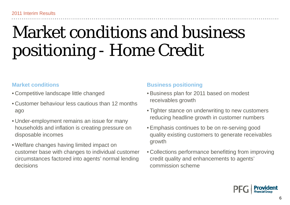#### Market conditions and business positioning - Home Credit

#### **Market conditions**

- Competitive landscape little changed
- Customer behaviour less cautious than 12 months ago
- Under-employment remains an issue for many households and inflation is creating pressure on disposable incomes
- Welfare changes having limited impact on customer base with changes to individual customer circumstances factored into agents' normal lending decisions

#### **Business positioning**

- Business plan for 2011 based on modest receivables growth
- Tighter stance on underwriting to new customers reducing headline growth in customer numbers
- Emphasis continues to be on re-serving good disposable incomes<br>growth growth the state receivables of the state of energy existing customers to generate receivables
	- Collections performance benefitting from improving s factored into agents' normal lending ecredit quality and enhancements to agents' commission scheme

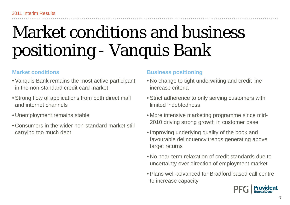#### Market conditions and business positioning - Vanquis Bank

#### **Market conditions**

- Vanquis Bank remains the most active participant in the non-standard credit card market
- Strong flow of applications from both direct mail and internet channels
- Unemplovment remains stabl
- Consumers in the wider non-standard market still carrying too much debt

#### **Business positioning**

- No change to tight underwriting and credit line increase criteria
- Strict adherence to only serving customers with limited indebtedness
- Unemployment remains stable with the More intensive marketing programme since mid-2010 driving strong growth in customer base
	- Improving underlying quality of the book and favourable delinquency trends generating above target returns
	- No near-term relaxation of credit standards due to uncertainty over direction of employment market
	- Plans well-advanced for Bradford based call centre to increase capacity

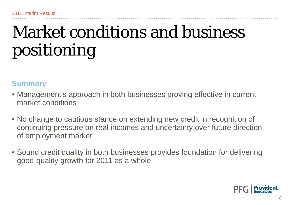#### Market conditions and business positioning

#### **Summary**

- Management's approach in both businesses proving effective in current market conditions
- No change to cautious stance on extending new credit in recognition of continuing pressure on real incomes and uncertainty over future direction of employment market
- Sound credit quality in both businesses provides foundation for delivering good-quality growth for 2011 as a whole

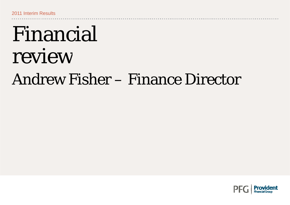## Financial review Andrew Fisher – Finance Director

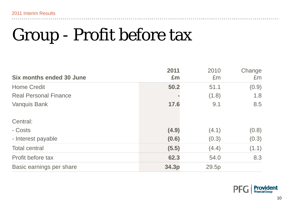### Group - Profit before tax

| <b>Six months ended 30 June</b> | 2011<br>Em | 2010<br>Em | Change<br>Em |
|---------------------------------|------------|------------|--------------|
| <b>Home Credit</b>              | 50.2       | 51.1       | (0.9)        |
| <b>Real Personal Finance</b>    |            | (1.8)      | 1.8          |
| <b>Vanquis Bank</b>             | 17.6       | 9.1        | 8.5          |
| Central:                        |            |            |              |
| - Costs                         | (4.9)      | (4.1)      | (0.8)        |
| - Interest payable              | (0.6)      | (0.3)      | (0.3)        |
| <b>Total central</b>            | (5.5)      | (4.4)      | (1.1)        |
| Profit before tax               | 62.3       | 54.0       | 8.3          |
| Basic earnings per share        | 34.3p      | 29.5p      |              |



**\*\*\*\*\*\*\*\*\*\*\*\*\*\***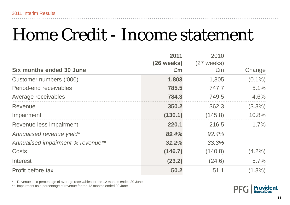#### Home Credit - Income statement

|                                   | 2011       | 2010         |           |
|-----------------------------------|------------|--------------|-----------|
|                                   | (26 weeks) | $(27$ weeks) |           |
| <b>Six months ended 30 June</b>   | £m         | Em           | Change    |
| Customer numbers ('000)           | 1,803      | 1,805        | $(0.1\%)$ |
| Period-end receivables            | 785.5      | 747.7        | 5.1%      |
| Average receivables               | 784.3      | 749.5        | 4.6%      |
| Revenue                           | 350.2      | 362.3        | $(3.3\%)$ |
| Impairment                        | (130.1)    | (145.8)      | 10.8%     |
| Revenue less impairment           | 220.1      | 216.5        | 1.7%      |
| Annualised revenue yield*         | 89.4%      | 92.4%        |           |
| Annualised impairment % revenue** | 31.2%      | 33.3%        |           |
| Costs                             | (146.7)    | (140.8)      | $(4.2\%)$ |
| Interest                          | (23.2)     | (24.6)       | 5.7%      |
| Profit before tax                 | 50.2       | 51.1         | $(1.8\%)$ |

\* $*$   $\;$  Revenue as a percentage of average receivables for the 12 months ended 30 June

\*\* Impairment as a percentage of revenue for the 12 months ended 30 June

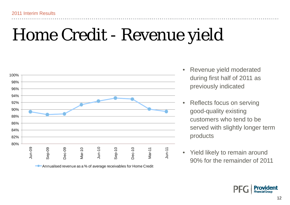#### Home Credit - Revenue yield



**Annualised revenue as a % of average receivables for Home Credit** 

- Revenue yield moderated •during first half of 2011 as previously indicated
- • Reflects focus on serving good-quality existing customers who tend to be served with slightly longer term products
- $\bullet$ Yield likely to remain around

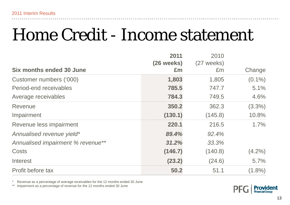#### Home Credit - Income statement

|                                   | 2011       | 2010         |           |
|-----------------------------------|------------|--------------|-----------|
|                                   | (26 weeks) | $(27$ weeks) |           |
| <b>Six months ended 30 June</b>   | £m         | £m           | Change    |
| Customer numbers ('000)           | 1,803      | 1,805        | $(0.1\%)$ |
| Period-end receivables            | 785.5      | 747.7        | 5.1%      |
| Average receivables               | 784.3      | 749.5        | 4.6%      |
| Revenue                           | 350.2      | 362.3        | $(3.3\%)$ |
| Impairment                        | (130.1)    | (145.8)      | 10.8%     |
| Revenue less impairment           | 220.1      | 216.5        | 1.7%      |
| Annualised revenue yield*         | 89.4%      | 92.4%        |           |
| Annualised impairment % revenue** | 31.2%      | 33.3%        |           |
| <b>Costs</b>                      | (146.7)    | (140.8)      | $(4.2\%)$ |
| Interest                          | (23.2)     | (24.6)       | 5.7%      |
| Profit before tax                 | 50.2       | 51.1         | $(1.8\%)$ |

\* $*$   $\;$  Revenue as a percentage of average receivables for the 12 months ended 30 June

\*\* Impairment as a percentage of revenue for the 12 months ended 30 June

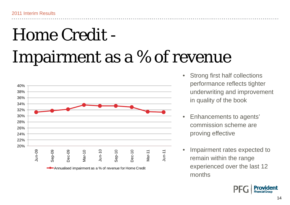## Home Credit - Impairment as a % of revenue



- • Strong first half collections performance reflects tighter in quality of the book
- Enhancements to agents' commission scheme are proving effective
- $\bullet$  Impairment rates expected to experienced over the last 12 months

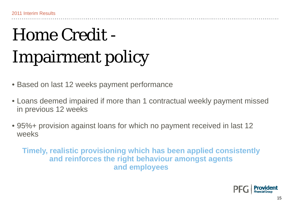## Home Credit - Impairment policy

• Based on last 12 weeks payment performance

- Loans deemed impaired if more than 1 contractual weekly payment missed in previous 12 weeks
- 95%+ provision against loans for which no payment received in last 12 weeks

**Timely, realistic provisioning which has been applied consistently and reinforces the right behaviour amongst agents and employees**

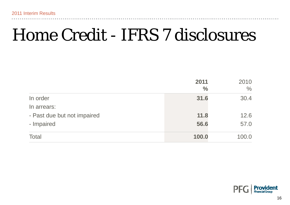#### Home Credit - IFRS 7 disclosures

|                             | 2011<br>$\frac{0}{0}$ | 2010<br>$\frac{0}{0}$ |
|-----------------------------|-----------------------|-----------------------|
| In order                    | 31.6                  | 30.4                  |
| In arrears:                 |                       |                       |
| - Past due but not impaired | 11.8                  | 12.6                  |
| - Impaired                  | 56.6                  | 57.0                  |
| Total                       | 100.0                 | 100.0                 |

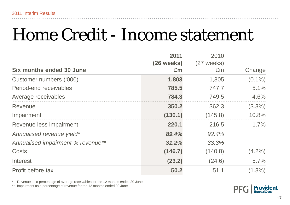#### Home Credit - Income statement

|                                   | 2011       | 2010         |           |
|-----------------------------------|------------|--------------|-----------|
|                                   | (26 weeks) | $(27$ weeks) |           |
| <b>Six months ended 30 June</b>   | £m         | £m           | Change    |
| Customer numbers ('000)           | 1,803      | 1,805        | $(0.1\%)$ |
| Period-end receivables            | 785.5      | 747.7        | 5.1%      |
| Average receivables               | 784.3      | 749.5        | 4.6%      |
| Revenue                           | 350.2      | 362.3        | $(3.3\%)$ |
| Impairment                        | (130.1)    | (145.8)      | 10.8%     |
| Revenue less impairment           | 220.1      | 216.5        | 1.7%      |
| Annualised revenue yield*         | 89.4%      | 92.4%        |           |
| Annualised impairment % revenue** | 31.2%      | 33.3%        |           |
| <b>Costs</b>                      | (146.7)    | (140.8)      | $(4.2\%)$ |
| Interest                          | (23.2)     | (24.6)       | 5.7%      |
| Profit before tax                 | 50.2       | 51.1         | $(1.8\%)$ |

\* $*$   $\;$  Revenue as a percentage of average receivables for the 12 months ended 30 June

\*\* Impairment as a percentage of revenue for the 12 months ended 30 June

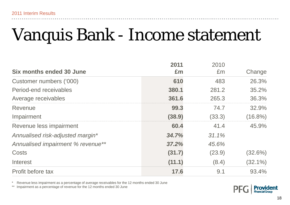#### Vanquis Bank - Income statement

|                                   | 2011   | 2010     |            |
|-----------------------------------|--------|----------|------------|
| <b>Six months ended 30 June</b>   | £m     | Em       | Change     |
| Customer numbers ('000)           | 610    | 483      | 26.3%      |
| Period-end receivables            | 380.1  | 281.2    | 35.2%      |
| Average receivables               | 361.6  | 265.3    | 36.3%      |
| Revenue                           | 99.3   | 74.7     | 32.9%      |
| Impairment                        | (38.9) | (33.3)   | $(16.8\%)$ |
| Revenue less impairment           | 60.4   | 41.4     | 45.9%      |
| Annualised risk-adjusted margin*  | 34.7%  | $31.1\%$ |            |
| Annualised impairment % revenue** | 37.2%  | 45.6%    |            |
| Costs                             | (31.7) | (23.9)   | $(32.6\%)$ |
| Interest                          | (11.1) | (8.4)    | $(32.1\%)$ |
| Profit before tax                 | 17.6   | 9.1      | 93.4%      |

\*\* Revenue less impairment as a percentage of average receivables for the 12 months ended 30 June<br>\*\* Impairment as a perceptage of revenue for the 42 months anded 20 June

\*\* Impairment as a percentage of revenue for the 12 months ended 30 June

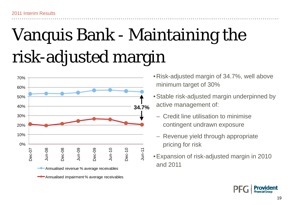## Vanquis Bank - Maintaining the risk-adjusted margin



**Annualised impairment % average receivables** 

- •Risk-adjusted margin of 34.7%, well above minimum target of 30%
- •Stable risk-adjusted margin underpinned by active management of:
	- Credit line utilisation to minimise contingent undrawn exposure
	- Revenue yielu mnough appropriat pricing for risk
- and 2011

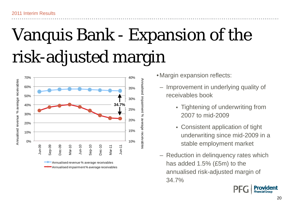## Vanquis Bank - Expansion of the risk-adjusted margin



- •Margin expansion reflects:
	- Improvement in underlying quality of receivables book
		- Tightening of underwriting from 2007 to mid-2009
		- Consistent application of tight underwriting since mid-2009 in a stable employment market
	- Reduction in delinquency rates which has added 1.5% (£5m) to the annualised risk-adjusted margin of 34.7%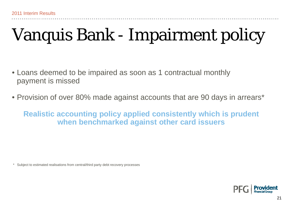### Vanquis Bank - Impairment policy

- Loans deemed to be impaired as soon as 1 contractual monthly payment is missed
- Provision of over 80% made against accounts that are 90 days in arrears\*

**Realistic accounting policy applied consistently which is prudent when benchmarked against other card issuers**

\*Subject to estimated realisations from central/third party debt recovery processes

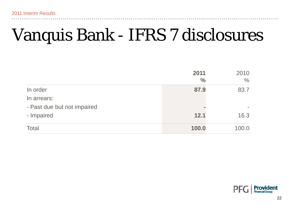#### Vanquis Bank - IFRS 7 disclosures

|                             | 2011<br>$\frac{6}{6}$ | 2010<br>$\%$ |
|-----------------------------|-----------------------|--------------|
| In order                    | 87.9                  | 83.7         |
| In arrears:                 |                       |              |
| - Past due but not impaired |                       |              |
| - Impaired                  | 12.1                  | 16.3         |
| <b>Total</b>                | 100.0                 | 100.0        |

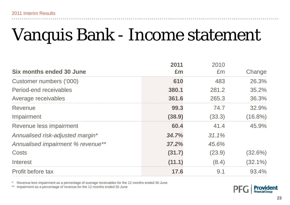#### Vanquis Bank - Income statement

|                                   | 2011   | 2010     |            |
|-----------------------------------|--------|----------|------------|
| <b>Six months ended 30 June</b>   | £m     | Em       | Change     |
| Customer numbers ('000)           | 610    | 483      | 26.3%      |
| Period-end receivables            | 380.1  | 281.2    | 35.2%      |
| Average receivables               | 361.6  | 265.3    | 36.3%      |
| Revenue                           | 99.3   | 74.7     | 32.9%      |
| Impairment                        | (38.9) | (33.3)   | $(16.8\%)$ |
| Revenue less impairment           | 60.4   | 41.4     | 45.9%      |
| Annualised risk-adjusted margin*  | 34.7%  | $31.1\%$ |            |
| Annualised impairment % revenue** | 37.2%  | 45.6%    |            |
| Costs                             | (31.7) | (23.9)   | $(32.6\%)$ |
| Interest                          | (11.1) | (8.4)    | $(32.1\%)$ |
| Profit before tax                 | 17.6   | 9.1      | 93.4%      |

\*\* Revenue less impairment as a percentage of average receivables for the 12 months ended 30 June<br>\*\* Impairment as a perceptage of revenue for the 42 months anded 20 June

\*\* Impairment as a percentage of revenue for the 12 months ended 30 June

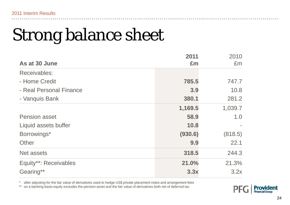## Strong balance sheet

|                         | 2011    | 2010    |
|-------------------------|---------|---------|
| As at 30 June           | £m      | Em      |
| Receivables:            |         |         |
| - Home Credit           | 785.5   | 747.7   |
| - Real Personal Finance | 3.9     | 10.8    |
| - Vanquis Bank          | 380.1   | 281.2   |
|                         | 1,169.5 | 1,039.7 |
| <b>Pension asset</b>    | 58.9    | 1.0     |
| Liquid assets buffer    | 10.8    |         |
| Borrowings*             | (930.6) | (818.5) |
| Other                   | 9.9     | 22.1    |
| <b>Net assets</b>       | 318.5   | 244.3   |
| Equity**: Receivables   | 21.0%   | 21.3%   |
| Gearing**               | 3.3x    | 3.2x    |

\*after adjusting for the fair value of derivatives used to hedge US\$ private placement notes and arrangement fees

\*\*on a banking basis equity excludes the pension asset and the fair value of derivatives both net of deferred tax

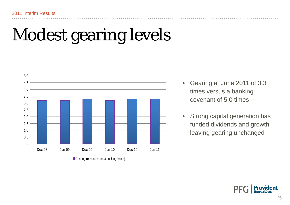### Modest gearing levels



Gearing (measured on a banking basis)

- • Gearing at June 2011 of 3.3 times versus <sup>a</sup> banking covenant of 5.0 times
- Strong capital generation has funded dividends and growth leaving gearing unchanged

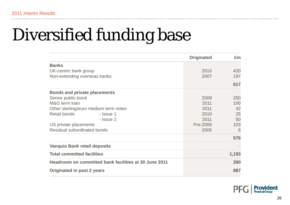### Diversified funding base

|                                                       | <b>Originated</b> | Em    |
|-------------------------------------------------------|-------------------|-------|
| <b>Banks</b>                                          |                   |       |
| UK-centric bank group                                 | 2010              | 420   |
| Non-extending overseas banks                          | 2007              | 197   |
|                                                       |                   | 617   |
| <b>Bonds and private placements</b>                   |                   |       |
| Senior public bond                                    | 2009              | 250   |
| M&G term loan                                         | 2011              | 100   |
| Other sterling/euro medium term notes                 | 2011              | 42    |
| <b>Retail bonds</b><br>- Issue 1                      | 2010              | 25    |
| - Issue 2                                             | 2011              | 50    |
| US private placements                                 | Pre-2006          | 103   |
| Residual subordinated bonds                           | 2005              | 6     |
|                                                       |                   | 576   |
| <b>Vanquis Bank retail deposits</b>                   |                   |       |
| <b>Total committed facilities</b>                     |                   | 1,193 |
| Headroom on committed bank facilities at 30 June 2011 |                   | 280   |
| Originated in past 2 years                            |                   | 887   |

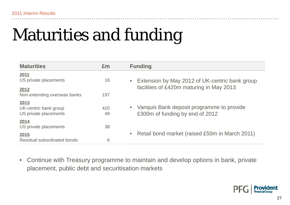### Maturities and funding

| <b>Maturities</b>                                      | Em        | <b>Funding</b>                                                               |
|--------------------------------------------------------|-----------|------------------------------------------------------------------------------|
| 2011<br>US private placements                          | 16        | Extension by May 2012 of UK-centric bank group                               |
| 2012<br>Non-extending overseas banks                   | 197       | facilities of £420m maturing in May 2013                                     |
| 2013<br>UK-centric bank group<br>US private placements | 420<br>49 | Vanquis Bank deposit programme to provide<br>£300m of funding by end of 2012 |
| 2014<br>US private placements                          | 38        |                                                                              |
| 2015<br>Residual subordinated bonds                    | 6         | Retail bond market (raised £50m in March 2011)                               |

 $\bullet$ Continue with Treasury programme to maintain and develop options in bank, private placement, public debt and securitisation markets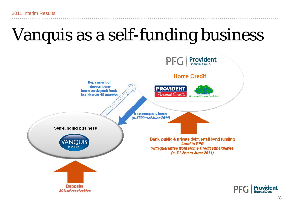### Vanquis as a self-funding business

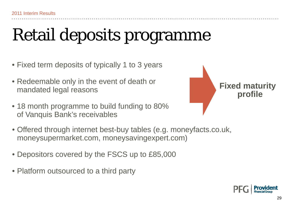### Retail deposits programme

- $\bullet$  Fixed term deposits of typically 1 to 3 years
- Redeemable only in the event of death or mandated legal reasons
- 18 month programme to build funding to 80% of Vanquis Bank's receivables



- Offered through internet best-buy tables (e.g. moneyfacts.co.uk, moneysupermarket.com, moneysavingexpert.com)
- Depositors covered by the FSCS up to £85,000
- Platform outsourced to a third party

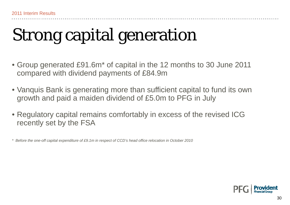### Strong capital generation

- Group generated £91.6m\* of capital in the 12 months to 30 June 2011 compared with dividend payments of £84.9m
- $\bullet$  Vanquis Bank is generating more than sufficient capital to fund its own growth and paid a maiden dividend of £5.0m to PFG in July
- $\bullet$  Regulatory capital remains comfortably in excess of the revised ICG recently set by the FSA

*\* Before the one-off capital expenditure of £9.1m in respect of CCD's head office relocation in October 2010*

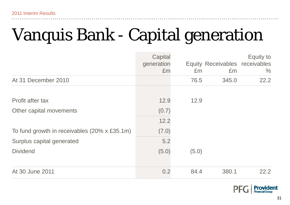### Vanquis Bank - Capital generation

|                                              | Capital<br>generation<br>Em | Em    | Equity Receivables receivables<br>Em | Equity to<br>$\%$ |
|----------------------------------------------|-----------------------------|-------|--------------------------------------|-------------------|
| At 31 December 2010                          |                             | 76.5  | 345.0                                | 22.2              |
| Profit after tax                             | 12.9                        | 12.9  |                                      |                   |
| Other capital movements                      | (0.7)                       |       |                                      |                   |
|                                              | 12.2                        |       |                                      |                   |
| To fund growth in receivables (20% x £35.1m) | (7.0)                       |       |                                      |                   |
| Surplus capital generated                    | 5.2                         |       |                                      |                   |
| <b>Dividend</b>                              | (5.0)                       | (5.0) |                                      |                   |
|                                              |                             |       |                                      |                   |
| At 30 June 2011                              | 0.2                         | 84.4  | 380.1                                | 22.2              |

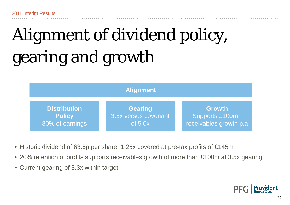## Alignment of dividend policy, gearing and growth



- Historic dividend of 63.5p per share, 1.25x covered at pre-tax profits of £145m
- $\bullet$  20% retention of profits supports receivables growth of more than £100m at 3.5x gearing
- Current gearing of 3.3x within target

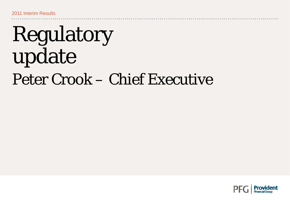## Regulatory update Peter Crook – Chief Executive

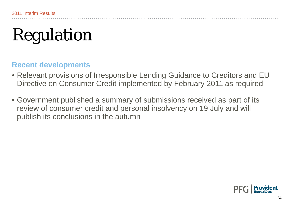## Regulation

#### **Recent developments**

- Relevant provisions of Irresponsible Lending Guidance to Creditors and EU Directive on Consumer Credit implemented by February 2011 as required
- Government published a summary of submissions received as part of its review of consumer credit and personal insolvency on 19 July and will publish its conclusions in the autumn

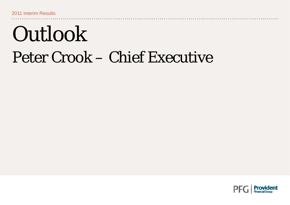## Outlook Peter Crook – Chief Executive

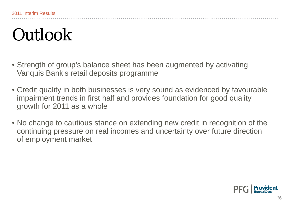#### **Outlook**

- $\bullet$  Strength of group's balance sheet has been augmented by activating Vanquis Bank's retail deposits programme
- $\bullet$  Credit quality in both businesses is very sound as evidenced by favourable impairment trends in first half and provides foundation for good quality growth for 2011 as a whole
- No change to cautious stance on extending new credit in recognition of the continuing pressure on real incomes and uncertainty over future direction of employment market

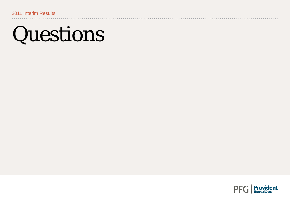## Questions